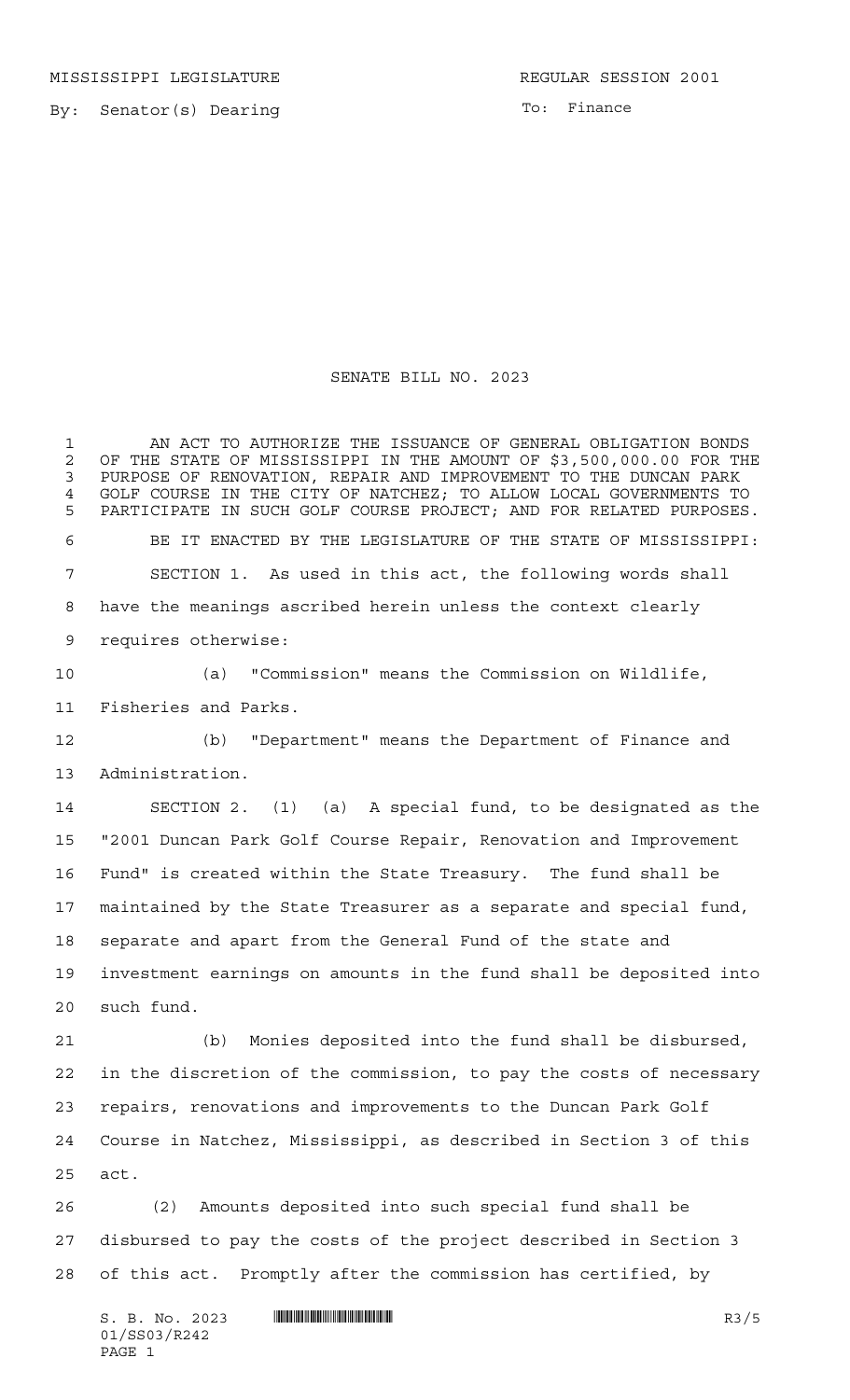MISSISSIPPI LEGISLATURE **REGULAR SESSION 2001** 

By: Senator(s) Dearing

To: Finance

## SENATE BILL NO. 2023

 AN ACT TO AUTHORIZE THE ISSUANCE OF GENERAL OBLIGATION BONDS 2 OF THE STATE OF MISSISSIPPI IN THE AMOUNT OF \$3,500,000.00 FOR THE<br>3 PURPOSE OF RENOVATION, REPAIR AND IMPROVEMENT TO THE DUNCAN PARK PURPOSE OF RENOVATION, REPAIR AND IMPROVEMENT TO THE DUNCAN PARK GOLF COURSE IN THE CITY OF NATCHEZ; TO ALLOW LOCAL GOVERNMENTS TO PARTICIPATE IN SUCH GOLF COURSE PROJECT; AND FOR RELATED PURPOSES. BE IT ENACTED BY THE LEGISLATURE OF THE STATE OF MISSISSIPPI: SECTION 1. As used in this act, the following words shall have the meanings ascribed herein unless the context clearly requires otherwise: (a) "Commission" means the Commission on Wildlife, Fisheries and Parks. (b) "Department" means the Department of Finance and Administration. SECTION 2. (1) (a) A special fund, to be designated as the "2001 Duncan Park Golf Course Repair, Renovation and Improvement Fund" is created within the State Treasury. The fund shall be maintained by the State Treasurer as a separate and special fund, separate and apart from the General Fund of the state and investment earnings on amounts in the fund shall be deposited into

such fund.

 (b) Monies deposited into the fund shall be disbursed, in the discretion of the commission, to pay the costs of necessary repairs, renovations and improvements to the Duncan Park Golf Course in Natchez, Mississippi, as described in Section 3 of this act.

 (2) Amounts deposited into such special fund shall be disbursed to pay the costs of the project described in Section 3 of this act. Promptly after the commission has certified, by

 $S. B. No. 2023$  **INNIFICALLY ALGENT AND RES** R3/5 01/SS03/R242 PAGE 1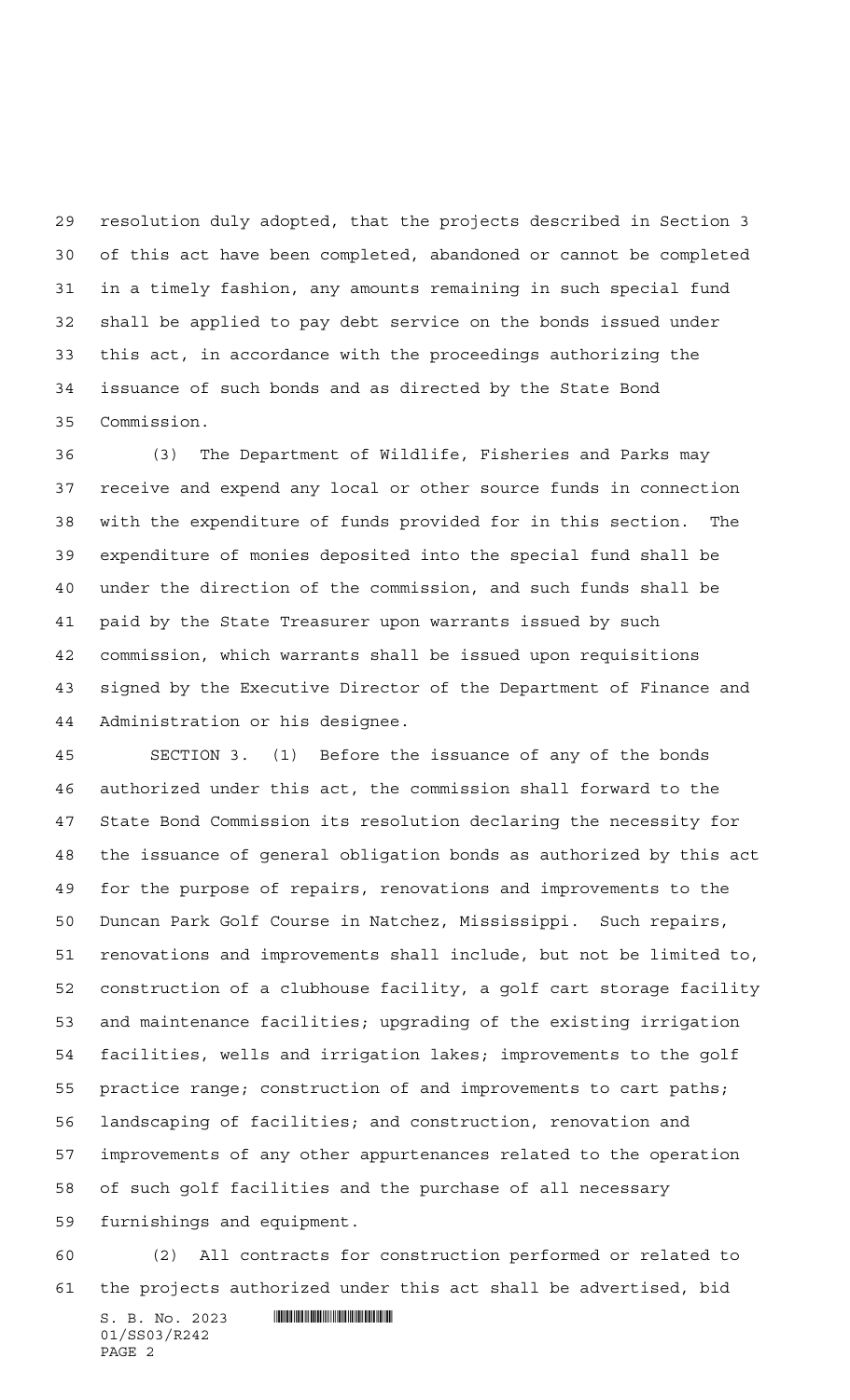resolution duly adopted, that the projects described in Section 3 of this act have been completed, abandoned or cannot be completed in a timely fashion, any amounts remaining in such special fund shall be applied to pay debt service on the bonds issued under this act, in accordance with the proceedings authorizing the issuance of such bonds and as directed by the State Bond Commission.

 (3) The Department of Wildlife, Fisheries and Parks may receive and expend any local or other source funds in connection with the expenditure of funds provided for in this section. The expenditure of monies deposited into the special fund shall be under the direction of the commission, and such funds shall be paid by the State Treasurer upon warrants issued by such commission, which warrants shall be issued upon requisitions signed by the Executive Director of the Department of Finance and Administration or his designee.

 SECTION 3. (1) Before the issuance of any of the bonds authorized under this act, the commission shall forward to the State Bond Commission its resolution declaring the necessity for the issuance of general obligation bonds as authorized by this act for the purpose of repairs, renovations and improvements to the Duncan Park Golf Course in Natchez, Mississippi. Such repairs, renovations and improvements shall include, but not be limited to, construction of a clubhouse facility, a golf cart storage facility and maintenance facilities; upgrading of the existing irrigation facilities, wells and irrigation lakes; improvements to the golf practice range; construction of and improvements to cart paths; landscaping of facilities; and construction, renovation and improvements of any other appurtenances related to the operation of such golf facilities and the purchase of all necessary furnishings and equipment.

 (2) All contracts for construction performed or related to the projects authorized under this act shall be advertised, bid

 $S. B. No. 2023$  . The set of  $\sim$  set of  $\sim$  set of  $\sim$  set of  $\sim$  set of  $\sim$  set of  $\sim$  set of  $\sim$  set of  $\sim$  set of  $\sim$  set of  $\sim$  set of  $\sim$  set of  $\sim$  set of  $\sim$  set of  $\sim$  set of  $\sim$  set of  $\sim$  set of  $\$ 01/SS03/R242 PAGE 2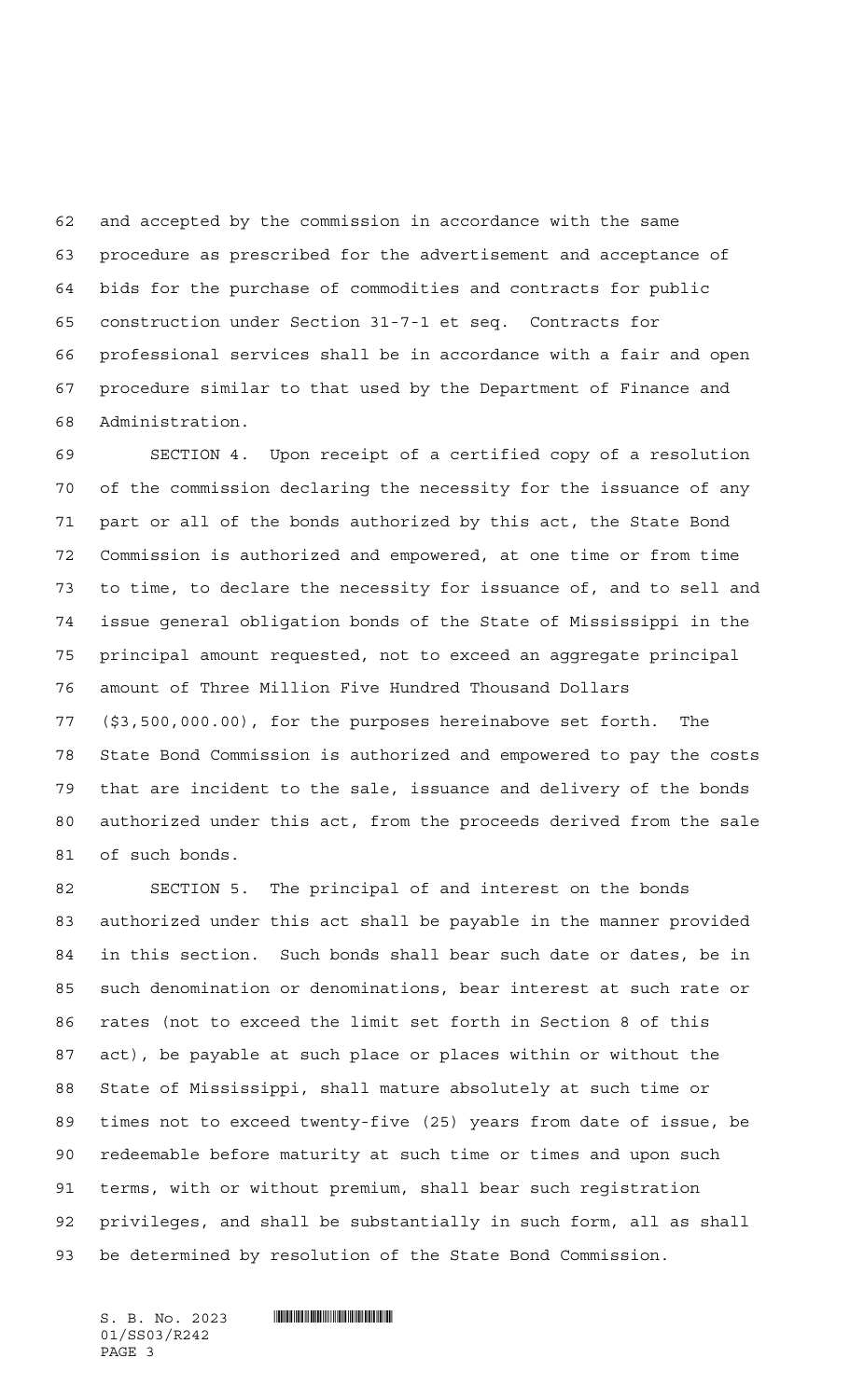and accepted by the commission in accordance with the same procedure as prescribed for the advertisement and acceptance of bids for the purchase of commodities and contracts for public construction under Section 31-7-1 et seq. Contracts for professional services shall be in accordance with a fair and open procedure similar to that used by the Department of Finance and Administration.

 SECTION 4. Upon receipt of a certified copy of a resolution of the commission declaring the necessity for the issuance of any part or all of the bonds authorized by this act, the State Bond Commission is authorized and empowered, at one time or from time to time, to declare the necessity for issuance of, and to sell and issue general obligation bonds of the State of Mississippi in the principal amount requested, not to exceed an aggregate principal amount of Three Million Five Hundred Thousand Dollars (\$3,500,000.00), for the purposes hereinabove set forth. The State Bond Commission is authorized and empowered to pay the costs that are incident to the sale, issuance and delivery of the bonds authorized under this act, from the proceeds derived from the sale of such bonds.

 SECTION 5. The principal of and interest on the bonds authorized under this act shall be payable in the manner provided in this section. Such bonds shall bear such date or dates, be in such denomination or denominations, bear interest at such rate or rates (not to exceed the limit set forth in Section 8 of this act), be payable at such place or places within or without the State of Mississippi, shall mature absolutely at such time or times not to exceed twenty-five (25) years from date of issue, be redeemable before maturity at such time or times and upon such terms, with or without premium, shall bear such registration privileges, and shall be substantially in such form, all as shall be determined by resolution of the State Bond Commission.

01/SS03/R242 PAGE 3

 $S.$  B. No. 2023  $\blacksquare$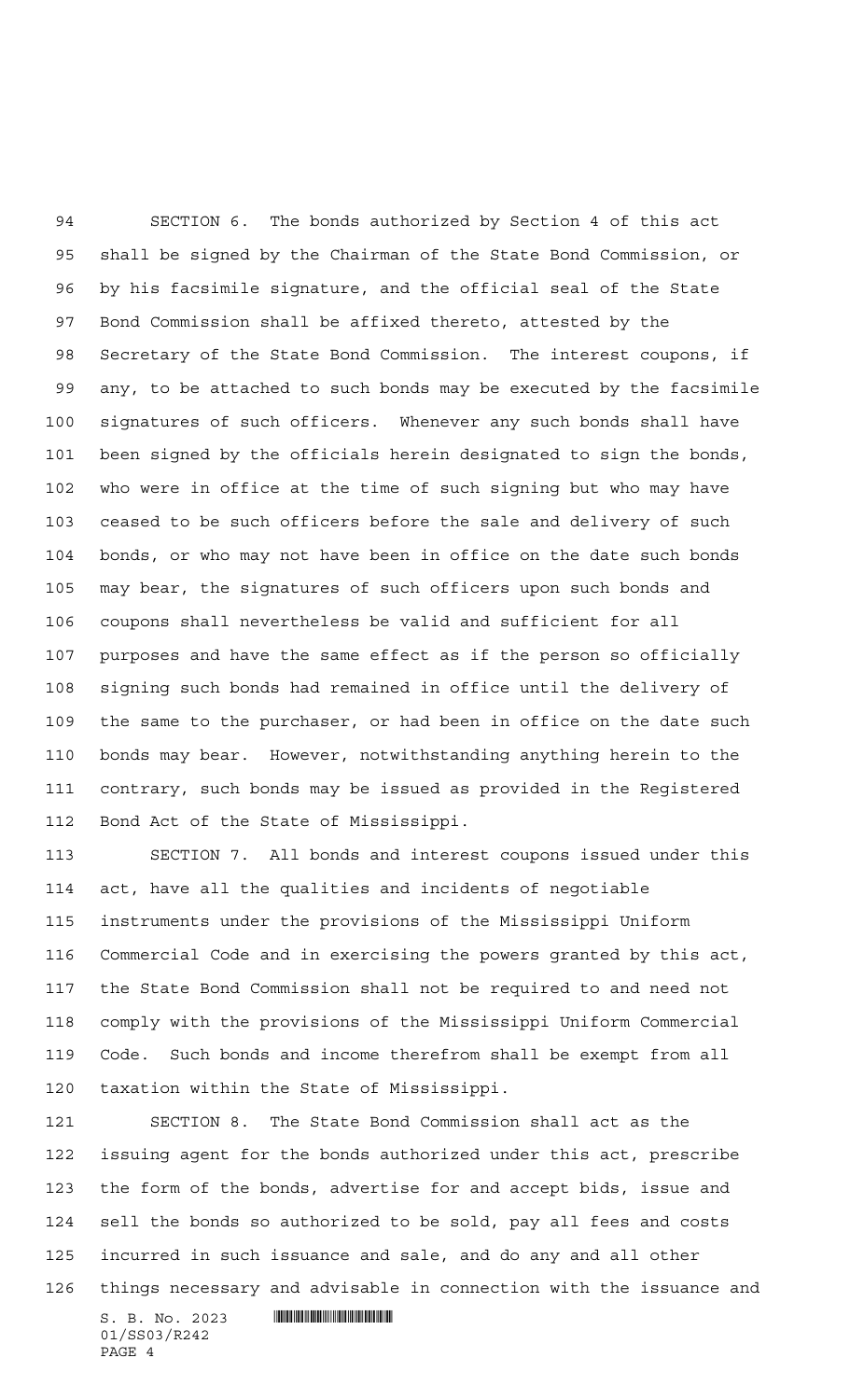SECTION 6. The bonds authorized by Section 4 of this act shall be signed by the Chairman of the State Bond Commission, or by his facsimile signature, and the official seal of the State Bond Commission shall be affixed thereto, attested by the Secretary of the State Bond Commission. The interest coupons, if any, to be attached to such bonds may be executed by the facsimile signatures of such officers. Whenever any such bonds shall have been signed by the officials herein designated to sign the bonds, who were in office at the time of such signing but who may have ceased to be such officers before the sale and delivery of such bonds, or who may not have been in office on the date such bonds may bear, the signatures of such officers upon such bonds and coupons shall nevertheless be valid and sufficient for all purposes and have the same effect as if the person so officially signing such bonds had remained in office until the delivery of the same to the purchaser, or had been in office on the date such bonds may bear. However, notwithstanding anything herein to the contrary, such bonds may be issued as provided in the Registered Bond Act of the State of Mississippi.

 SECTION 7. All bonds and interest coupons issued under this act, have all the qualities and incidents of negotiable instruments under the provisions of the Mississippi Uniform Commercial Code and in exercising the powers granted by this act, the State Bond Commission shall not be required to and need not comply with the provisions of the Mississippi Uniform Commercial Code. Such bonds and income therefrom shall be exempt from all taxation within the State of Mississippi.

 SECTION 8. The State Bond Commission shall act as the issuing agent for the bonds authorized under this act, prescribe the form of the bonds, advertise for and accept bids, issue and sell the bonds so authorized to be sold, pay all fees and costs incurred in such issuance and sale, and do any and all other things necessary and advisable in connection with the issuance and

 $S. B. No. 2023$  .  $\blacksquare$ 01/SS03/R242 PAGE 4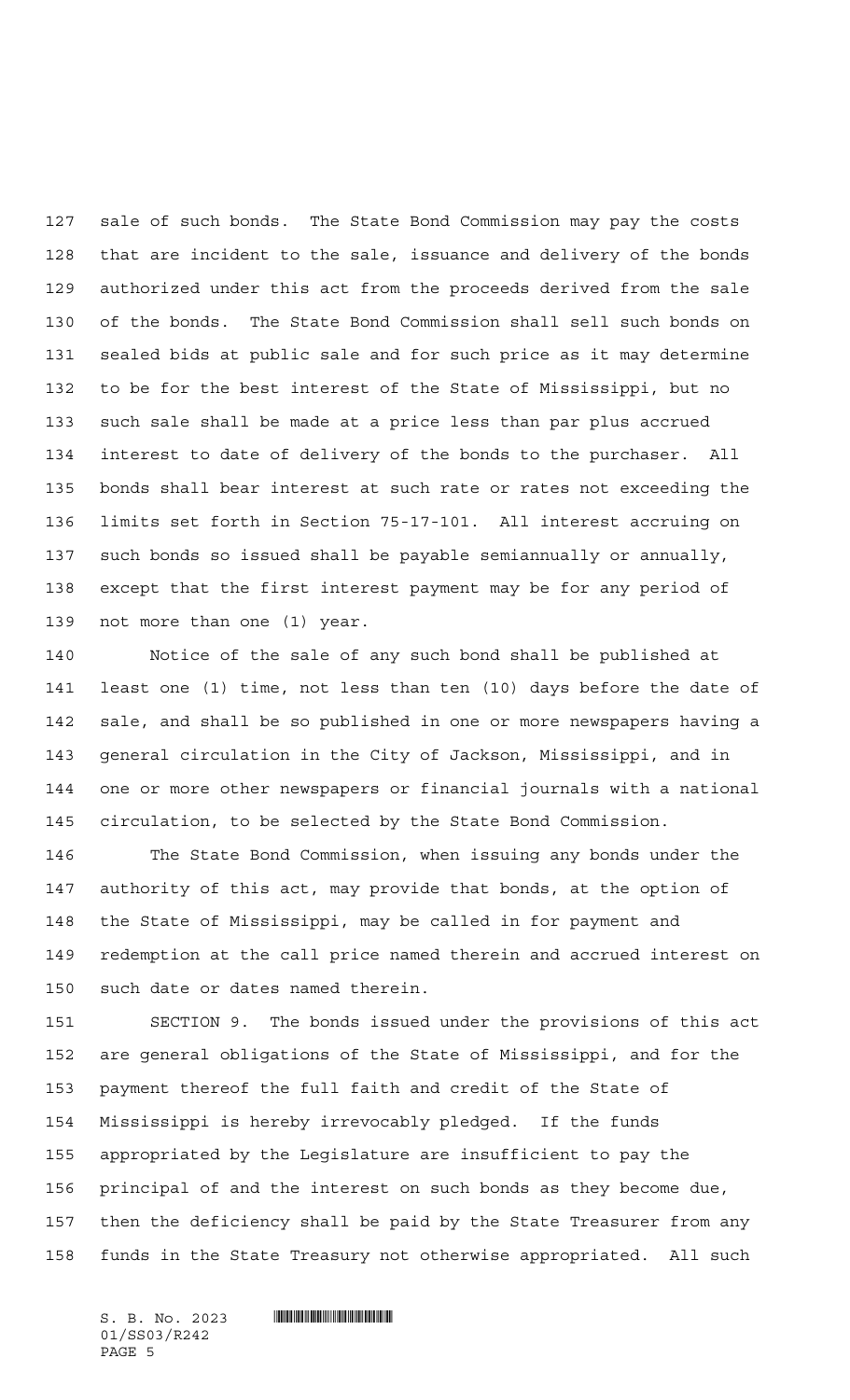sale of such bonds. The State Bond Commission may pay the costs that are incident to the sale, issuance and delivery of the bonds authorized under this act from the proceeds derived from the sale of the bonds. The State Bond Commission shall sell such bonds on sealed bids at public sale and for such price as it may determine to be for the best interest of the State of Mississippi, but no such sale shall be made at a price less than par plus accrued interest to date of delivery of the bonds to the purchaser. All bonds shall bear interest at such rate or rates not exceeding the limits set forth in Section 75-17-101. All interest accruing on such bonds so issued shall be payable semiannually or annually, except that the first interest payment may be for any period of not more than one (1) year.

 Notice of the sale of any such bond shall be published at least one (1) time, not less than ten (10) days before the date of sale, and shall be so published in one or more newspapers having a general circulation in the City of Jackson, Mississippi, and in one or more other newspapers or financial journals with a national circulation, to be selected by the State Bond Commission.

 The State Bond Commission, when issuing any bonds under the authority of this act, may provide that bonds, at the option of the State of Mississippi, may be called in for payment and redemption at the call price named therein and accrued interest on such date or dates named therein.

 SECTION 9. The bonds issued under the provisions of this act are general obligations of the State of Mississippi, and for the payment thereof the full faith and credit of the State of Mississippi is hereby irrevocably pledged. If the funds appropriated by the Legislature are insufficient to pay the principal of and the interest on such bonds as they become due, then the deficiency shall be paid by the State Treasurer from any funds in the State Treasury not otherwise appropriated. All such

01/SS03/R242 PAGE 5

S. B. No. 2023 \*SS03/R242\*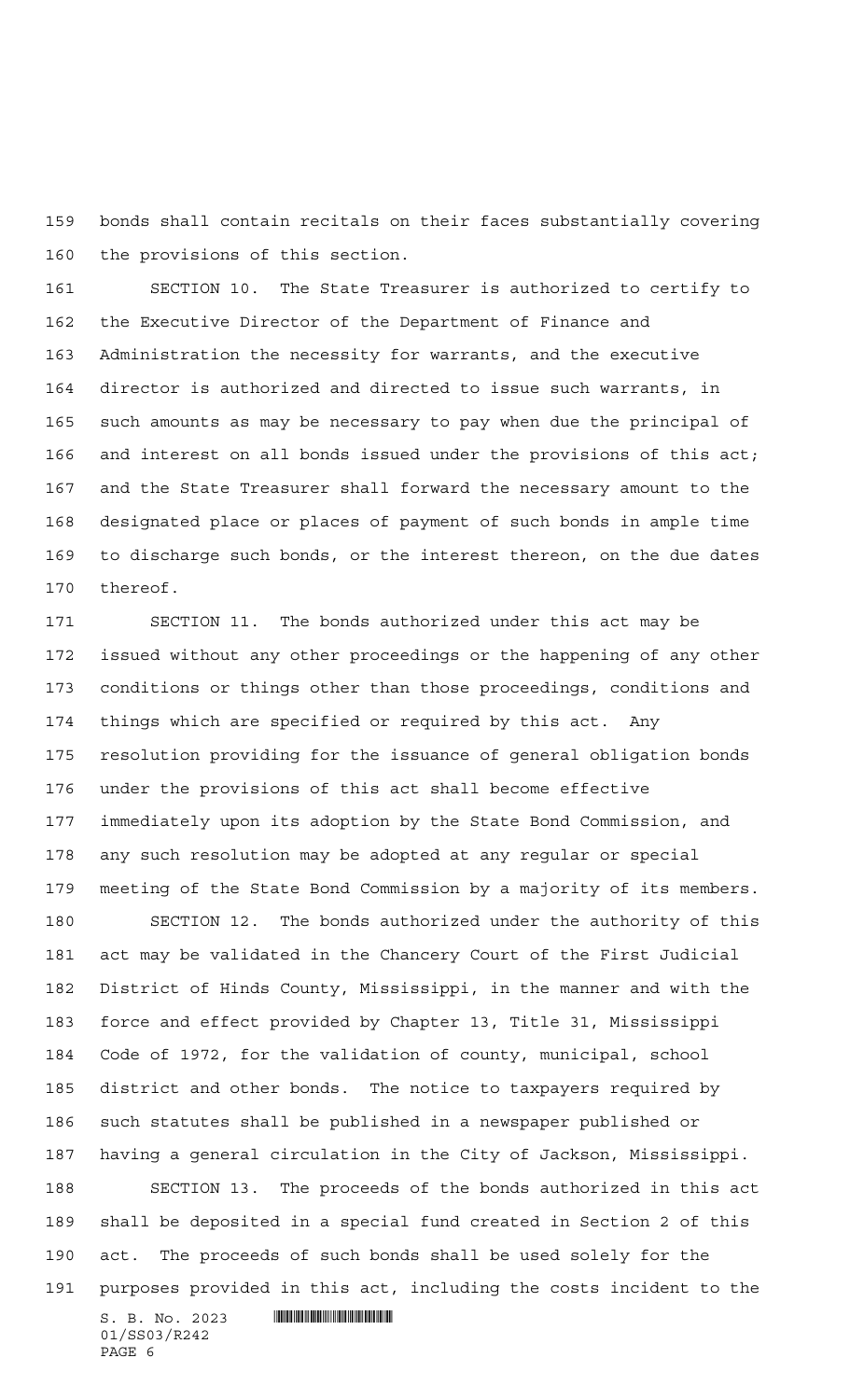bonds shall contain recitals on their faces substantially covering the provisions of this section.

 SECTION 10. The State Treasurer is authorized to certify to the Executive Director of the Department of Finance and Administration the necessity for warrants, and the executive director is authorized and directed to issue such warrants, in such amounts as may be necessary to pay when due the principal of and interest on all bonds issued under the provisions of this act; and the State Treasurer shall forward the necessary amount to the designated place or places of payment of such bonds in ample time to discharge such bonds, or the interest thereon, on the due dates thereof.

 SECTION 11. The bonds authorized under this act may be issued without any other proceedings or the happening of any other conditions or things other than those proceedings, conditions and things which are specified or required by this act. Any resolution providing for the issuance of general obligation bonds under the provisions of this act shall become effective immediately upon its adoption by the State Bond Commission, and any such resolution may be adopted at any regular or special meeting of the State Bond Commission by a majority of its members.

S. B. No. 2023 \*SS03/R242\* 01/SS03/R242 SECTION 12. The bonds authorized under the authority of this act may be validated in the Chancery Court of the First Judicial District of Hinds County, Mississippi, in the manner and with the force and effect provided by Chapter 13, Title 31, Mississippi Code of 1972, for the validation of county, municipal, school district and other bonds. The notice to taxpayers required by such statutes shall be published in a newspaper published or having a general circulation in the City of Jackson, Mississippi. SECTION 13. The proceeds of the bonds authorized in this act shall be deposited in a special fund created in Section 2 of this act. The proceeds of such bonds shall be used solely for the purposes provided in this act, including the costs incident to the

PAGE 6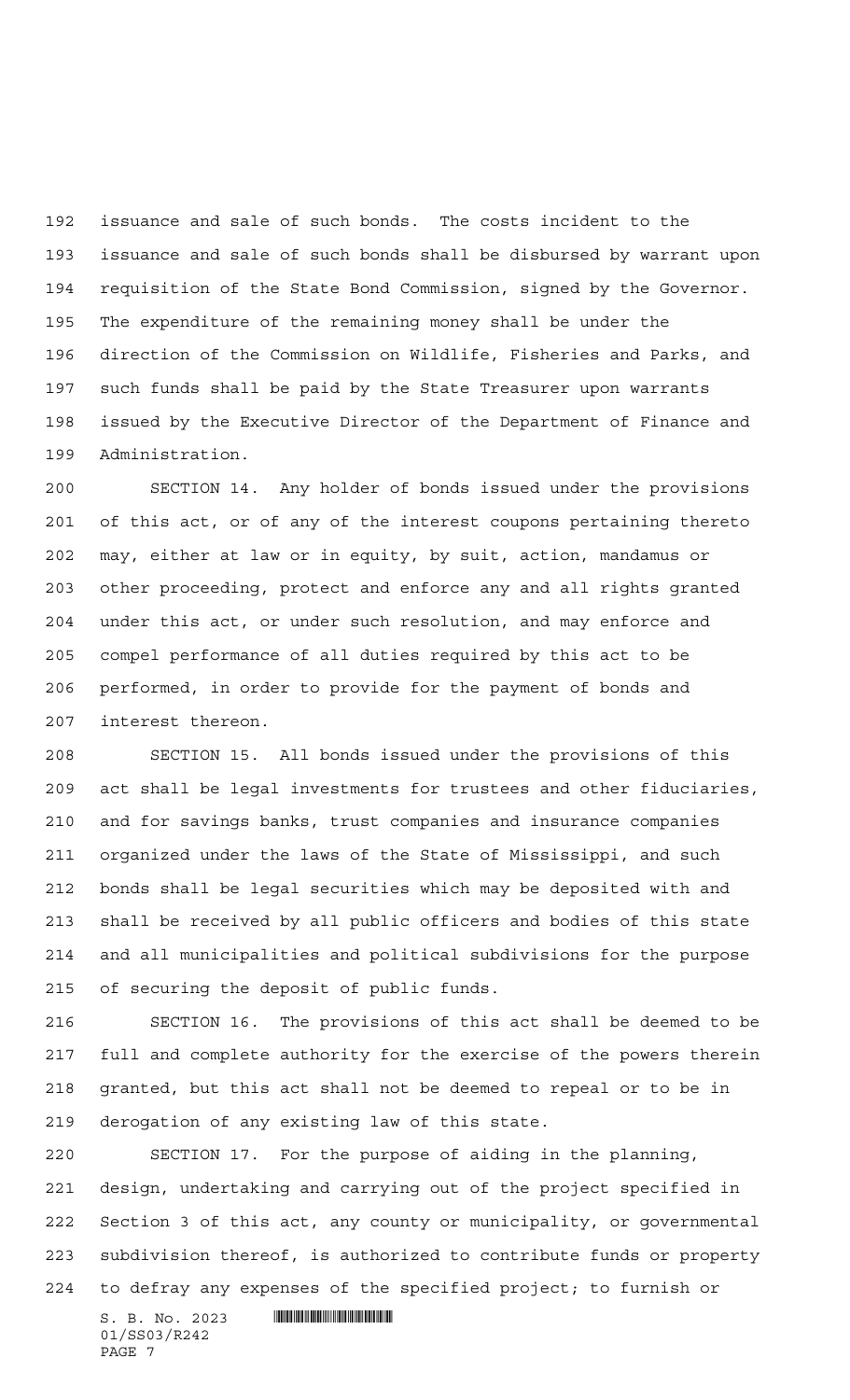issuance and sale of such bonds. The costs incident to the issuance and sale of such bonds shall be disbursed by warrant upon requisition of the State Bond Commission, signed by the Governor. The expenditure of the remaining money shall be under the direction of the Commission on Wildlife, Fisheries and Parks, and such funds shall be paid by the State Treasurer upon warrants issued by the Executive Director of the Department of Finance and Administration.

 SECTION 14. Any holder of bonds issued under the provisions of this act, or of any of the interest coupons pertaining thereto may, either at law or in equity, by suit, action, mandamus or other proceeding, protect and enforce any and all rights granted under this act, or under such resolution, and may enforce and compel performance of all duties required by this act to be performed, in order to provide for the payment of bonds and interest thereon.

 SECTION 15. All bonds issued under the provisions of this act shall be legal investments for trustees and other fiduciaries, and for savings banks, trust companies and insurance companies organized under the laws of the State of Mississippi, and such bonds shall be legal securities which may be deposited with and shall be received by all public officers and bodies of this state and all municipalities and political subdivisions for the purpose of securing the deposit of public funds.

 SECTION 16. The provisions of this act shall be deemed to be full and complete authority for the exercise of the powers therein granted, but this act shall not be deemed to repeal or to be in derogation of any existing law of this state.

 SECTION 17. For the purpose of aiding in the planning, design, undertaking and carrying out of the project specified in Section 3 of this act, any county or municipality, or governmental subdivision thereof, is authorized to contribute funds or property to defray any expenses of the specified project; to furnish or

 $S. B. No. 2023$  .  $\blacksquare$ 01/SS03/R242 PAGE 7